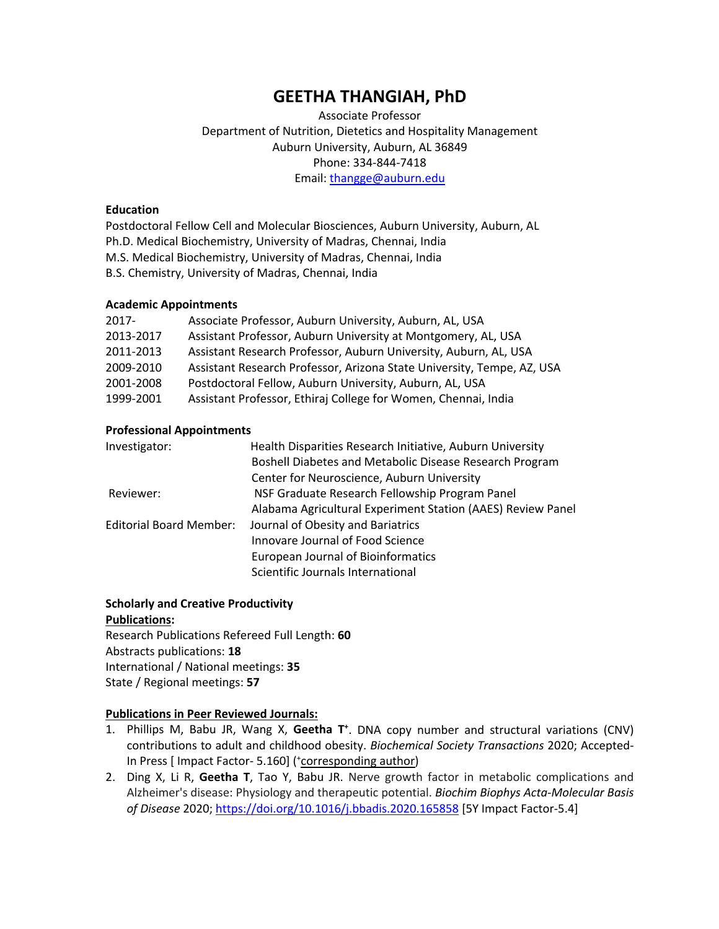# **GEETHA THANGIAH, PhD**

 Associate Professor Auburn University, Auburn, AL 36849 Department of Nutrition, Dietetics and Hospitality Management Phone: 334-844-7418 Email: [thangge@auburn.edu](mailto:thangge@auburn.edu)

### **Education**

 Ph.D. Medical Biochemistry, University of Madras, Chennai, India M.S. Medical Biochemistry, University of Madras, Chennai, India B.S. Chemistry, University of Madras, Chennai, India Postdoctoral Fellow Cell and Molecular Biosciences, Auburn University, Auburn, AL

### **Academic Appointments**

| $2017 -$  | Associate Professor, Auburn University, Auburn, AL, USA                |
|-----------|------------------------------------------------------------------------|
| 2013-2017 | Assistant Professor, Auburn University at Montgomery, AL, USA          |
| 2011-2013 | Assistant Research Professor, Auburn University, Auburn, AL, USA       |
| 2009-2010 | Assistant Research Professor, Arizona State University, Tempe, AZ, USA |
| 2001-2008 | Postdoctoral Fellow, Auburn University, Auburn, AL, USA                |
| 1999-2001 | Assistant Professor, Ethiraj College for Women, Chennai, India         |

#### **Professional Appointments**

| Investigator:                  | Health Disparities Research Initiative, Auburn University   |
|--------------------------------|-------------------------------------------------------------|
|                                | Boshell Diabetes and Metabolic Disease Research Program     |
|                                | Center for Neuroscience, Auburn University                  |
| Reviewer:                      | NSF Graduate Research Fellowship Program Panel              |
|                                | Alabama Agricultural Experiment Station (AAES) Review Panel |
| <b>Editorial Board Member:</b> | Journal of Obesity and Bariatrics                           |
|                                | Innovare Journal of Food Science                            |
|                                | <b>European Journal of Bioinformatics</b>                   |
|                                | Scientific Journals International                           |

#### **Scholarly and Creative Productivity Publications:**

 Research Publications Refereed Full Length: **60**  Abstracts publications: **18**  International / National meetings: **35**  State / Regional meetings: **57** 

### **Publications in Peer Reviewed Journals:**

- 1. Phillips M, Babu JR, Wang X, **Geetha T+** . DNA copy number and structural variations (CNV)  contributions to adult and childhood obesity. *Biochemical Society Transactions* 2020; Accepted-In Press [ Impact Factor- 5.160] (\*corresponding author)
- 2. Ding X, Li R, **Geetha T**, Tao Y, Babu JR. Nerve growth factor in metabolic complications and Alzheimer's disease: Physiology and therapeutic potential. *Biochim Biophys Acta-Molecular Basis of Disease* 2020; <https://doi.org/10.1016/j.bbadis.2020.165858>[5Y Impact Factor-5.4]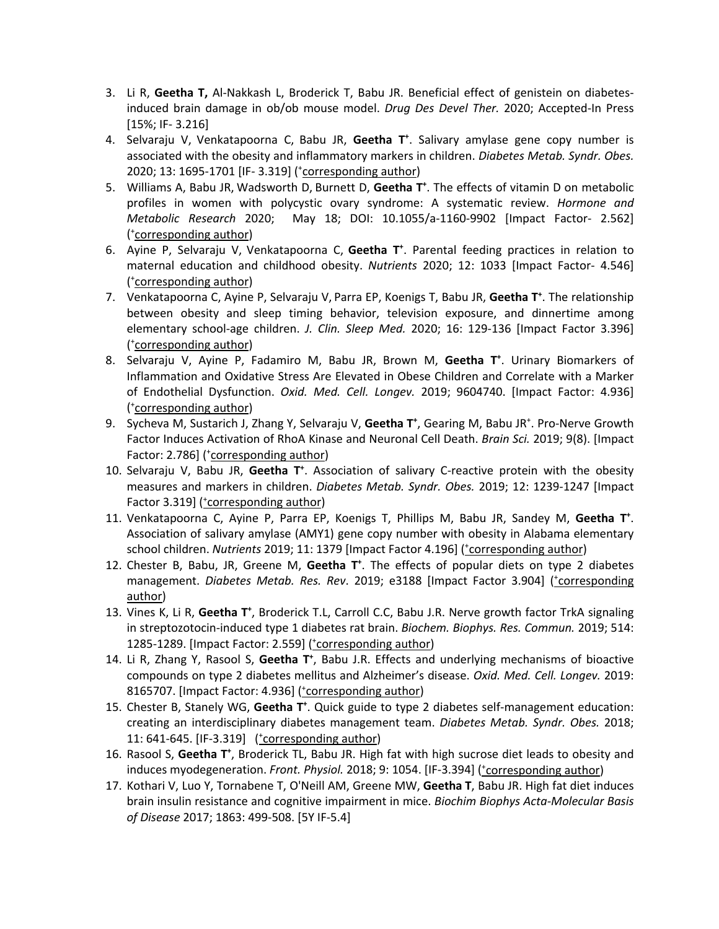- 3. Li R, **Geetha T,** Al-Nakkash L, Broderick T, Babu JR. Beneficial effect of genistein on diabetes- induced brain damage in ob/ob mouse model. *Drug Des Devel Ther.* 2020; Accepted-In Press [15%; IF- 3.216]
- 4. Selvaraju V, Venkatapoorna C, Babu JR, **Geetha T+** . Salivary amylase gene copy number is  associated with the obesity and inflammatory markers in children. *Diabetes Metab. Syndr. Obes.*  2020; 13: 1695-1701 [IF- 3.319] (\*corresponding author)
- 5. Williams A, Babu JR, Wadsworth D, Burnett D, Geetha T<sup>+</sup>. The effects of vitamin D on metabolic profiles in women with polycystic ovary syndrome: A systematic review. *Hormone and Metabolic Research* 2020; May 18; DOI: 10.1055/a-1160-9902 [Impact Factor- 2.562] ( + corresponding author)
- 6. Ayine P, Selvaraju V, Venkatapoorna C, **Geetha T+** . Parental feeding practices in relation to maternal education and childhood obesity. *Nutrients* 2020; 12: 1033 [Impact Factor- 4.546] ( + corresponding author)
- 7. Venkatapoorna C, Ayine P, Selvaraju V, Parra EP, Koenigs T, Babu JR, **Geetha T+** . The relationship between obesity and sleep timing behavior, television exposure, and dinnertime among elementary school-age children. *J. Clin. Sleep Med.* 2020; 16: 129-136 [Impact Factor 3.396] ( + corresponding author)
- 8. Selvaraju V, Ayine P, Fadamiro M, Babu JR, Brown M, Geetha T<sup>+</sup>. Urinary Biomarkers of Inflammation and Oxidative Stress Are Elevated in Obese Children and Correlate with a Marker of Endothelial Dysfunction. *Oxid. Med. Cell. Longev.* 2019; 9604740. [Impact Factor: 4.936] ( + corresponding author)
- 9. Sycheva M, Sustarich J, Zhang Y, Selvaraju V, Geetha T<sup>+</sup>, Gearing M, Babu JR<sup>+</sup>. Pro-Nerve Growth Factor Induces Activation of RhoA Kinase and Neuronal Cell Death. *Brain Sci.* 2019; 9(8). [Impact Factor: 2.786] (\*corresponding author)
- 10. Selvaraju V, Babu JR, Geetha T<sup>+</sup>. Association of salivary C-reactive protein with the obesity measures and markers in children. *Diabetes Metab. Syndr. Obes.* 2019; 12: 1239-1247 [Impact Factor 3.319] (*torresponding author*)
- 11. Venkatapoorna C, Ayine P, Parra EP, Koenigs T, Phillips M, Babu JR, Sandey M, **Geetha T+** . Association of salivary amylase (AMY1) gene copy number with obesity in Alabama elementary school children. Nutrients 2019; 11: 1379 [Impact Factor 4.196] (*'corresponding author*)
- 12. Chester B, Babu, JR, Greene M, **Geetha T+** . The effects of popular diets on type 2 diabetes management. *Diabetes Metab. Res. Rev.* 2019; e3188 [Impact Factor 3.904] (torresponding author)
- 13. Vines K, Li R, Geetha T<sup>+</sup>, Broderick T.L, Carroll C.C, Babu J.R. Nerve growth factor TrkA signaling in streptozotocin-induced type 1 diabetes rat brain. *Biochem. Biophys. Res. Commun.* 2019; 514: 1285-1289. [Impact Factor: 2.559] (*'corresponding author*)
- 14. Li R, Zhang Y, Rasool S, Geetha T<sup>+</sup>, Babu J.R. Effects and underlying mechanisms of bioactive  compounds on type 2 diabetes mellitus and Alzheimer's disease. *Oxid. Med. Cell. Longev.* 2019: 8165707. [Impact Factor: 4.936] (*'corresponding author*)
- 15. Chester B, Stanely WG, Geetha T<sup>+</sup>. Quick guide to type 2 diabetes self-management education:  creating an interdisciplinary diabetes management team. *Diabetes Metab. Syndr. Obes.* 2018; 11: 641-645. [IF-3.319] (*'corresponding author*)
- 16. Rasool S, Geetha T<sup>+</sup>, Broderick TL, Babu JR. High fat with high sucrose diet leads to obesity and induces myodegeneration. Front. Physiol. 2018; 9: 1054. [IF-3.394] (tcorresponding author)
- 17. Kothari V, Luo Y, Tornabene T, O'Neill AM, Greene MW, **Geetha T**, Babu JR. High fat diet induces  brain insulin resistance and cognitive impairment in mice. *Biochim Biophys Acta-Molecular Basis of Disease* 2017; 1863: 499-508. [5Y IF-5.4]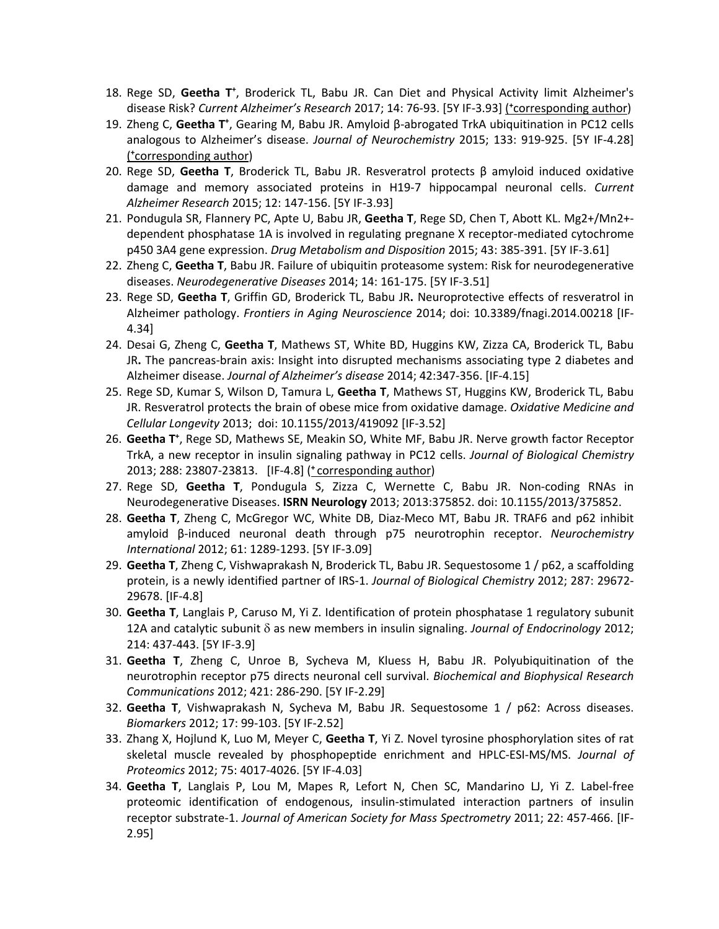- 18. Rege SD, Geetha T<sup>+</sup>, Broderick TL, Babu JR. Can Diet and Physical Activity limit Alzheimer's disease Risk? Current Alzheimer's Research 2017; 14: 76-93. [5Y IF-3.93] (*torresponding author*)
- analogous to Alzheimer's disease. *Journal of Neurochemistry* 2015; 133: 919-925. [5Y IF-4.28] 19. Zheng C, Geetha T<sup>+</sup>, Gearing M, Babu JR. Amyloid β-abrogated TrkA ubiquitination in PC12 cells ( **+** corresponding author)
- 20. Rege SD, **Geetha T**, Broderick TL, Babu JR. Resveratrol protects β amyloid induced oxidative damage and memory associated proteins in H19-7 hippocampal neuronal cells. *Current Alzheimer Research* 2015; 12: 147-156. [5Y IF-3.93]
- 21. Pondugula SR, Flannery PC, Apte U, Babu JR, **Geetha T**, Rege SD, Chen T, Abott KL. Mg2+/Mn2+- dependent phosphatase 1A is involved in regulating pregnane X receptor-mediated cytochrome p450 3A4 gene expression. *Drug Metabolism and Disposition* 2015; 43: 385-391. [5Y IF-3.61]
- 22. Zheng C, **Geetha T**, Babu JR. Failure of ubiquitin proteasome system: Risk for neurodegenerative diseases. *Neurodegenerative Diseases* 2014; 14: 161-175. [5Y IF-3.51]
- 23. Rege SD, **Geetha T**, Griffin GD, Broderick TL, Babu JR**.** Neuroprotective effects of resveratrol in Alzheimer pathology. *Frontiers in Aging Neuroscience* 2014; doi: 10.3389/fnagi.2014.00218 [IF-4.34]
- 24. Desai G, Zheng C, **Geetha T**, Mathews ST, White BD, Huggins KW, Zizza CA, Broderick TL, Babu JR**.** The pancreas-brain axis: Insight into disrupted mechanisms associating type 2 diabetes and Alzheimer disease. *Journal of Alzheimer's disease* 2014; 42:347-356. [IF-4.15]
- 25. Rege SD, Kumar S, Wilson D, Tamura L, **Geetha T**, Mathews ST, Huggins KW, Broderick TL, Babu JR. Resveratrol protects the brain of obese mice from oxidative damage. *Oxidative Medicine and Cellular Longevity* 2013; doi: 10.1155/2013/419092 [IF-3.52]
- 26. Geetha T<sup>+</sup>, Rege SD, Mathews SE, Meakin SO, White MF, Babu JR. Nerve growth factor Receptor TrkA, a new receptor in insulin signaling pathway in PC12 cells. *Journal of Biological Chemistry*  2013; 288: 23807-23813. [IF-4.8] ( **<sup>+</sup>** corresponding author)
- Neurodegenerative Diseases. **ISRN Neurology** 2013; 2013:375852. doi: 10.1155/2013/375852. 27. Rege SD, **Geetha T**, Pondugula S, Zizza C, Wernette C, Babu JR. Non-coding RNAs in
- 28. **Geetha T**, Zheng C, McGregor WC, White DB, Diaz-Meco MT, Babu JR. TRAF6 and p62 inhibit amyloid β-induced neuronal death through p75 neurotrophin receptor. *Neurochemistry International* 2012; 61: 1289-1293. [5Y IF-3.09]
- 29. **Geetha T**, Zheng C, Vishwaprakash N, Broderick TL, Babu JR. Sequestosome 1 / p62, a scaffolding protein, is a newly identified partner of IRS-1. *Journal of Biological Chemistry* 2012; 287: 29672- 29678. [IF-4.8]
- 30. **Geetha T**, Langlais P, Caruso M, Yi Z. Identification of protein phosphatase 1 regulatory subunit 12A and catalytic subunit  $\delta$  as new members in insulin signaling. Journal of Endocrinology 2012; 214: 437-443. [5Y IF-3.9]
- 31. **Geetha T**, Zheng C, Unroe B, Sycheva M, Kluess H, Babu JR. Polyubiquitination of the neurotrophin receptor p75 directs neuronal cell survival. *Biochemical and Biophysical Research Communications* 2012; 421: 286-290. [5Y IF-2.29]
- 32. **Geetha T**, Vishwaprakash N, Sycheva M, Babu JR. Sequestosome 1 / p62: Across diseases. *Biomarkers* 2012; 17: 99-103. [5Y IF-2.52]
- 33. Zhang X, Hojlund K, Luo M, Meyer C, **Geetha T**, Yi Z. Novel tyrosine phosphorylation sites of rat skeletal muscle revealed by phosphopeptide enrichment and HPLC-ESI-MS/MS. *Journal of Proteomics* 2012; 75: 4017-4026. [5Y IF-4.03]
- 34. **Geetha T**, Langlais P, Lou M, Mapes R, Lefort N, Chen SC, Mandarino LJ, Yi Z. Label-free receptor substrate-1. *Journal of American Society for Mass Spectrometry* 2011; 22: 457-466. [IFproteomic identification of endogenous, insulin-stimulated interaction partners of insulin 2.95]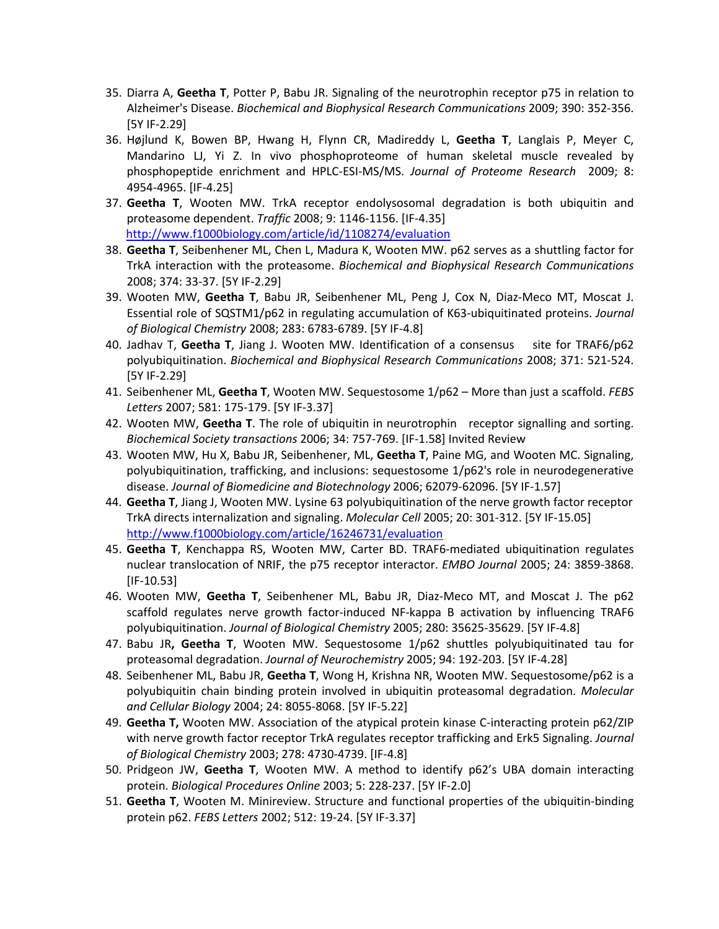- 35. Diarra A, **Geetha T**, Potter P, Babu JR. Signaling of the neurotrophin receptor p75 in relation to Alzheimer's Disease. *Biochemical and Biophysical Research Communications* 2009; 390: 352-356. [5Y IF-2.29]
- 36. Højlund K, Bowen BP, Hwang H, Flynn CR, Madireddy L, **Geetha T**, Langlais P, Meyer C, Mandarino LJ, Yi Z. In vivo phosphoproteome of human skeletal muscle revealed by phosphopeptide enrichment and HPLC-ESI-MS/MS. *Journal of Proteome Research* 2009; 8: 4954-4965. [IF-4.25]
- 37. **Geetha T**, Wooten MW. TrkA receptor endolysosomal degradation is both ubiquitin and proteasome dependent. *Traffic* 2008; 9: 1146-1156. [IF-4.35] <http://www.f1000biology.com/article/id/1108274/evaluation>
- 38. **Geetha T**, Seibenhener ML, Chen L, Madura K, Wooten MW. p62 serves as a shuttling factor for 2008; 374: 33-37. [5Y IF-2.29] TrkA interaction with the proteasome. *Biochemical and Biophysical Research Communications*
- 39. Wooten MW, **Geetha T**, Babu JR, Seibenhener ML, Peng J, Cox N, Diaz-Meco MT, Moscat J. Essential role of SQSTM1/p62 in regulating accumulation of K63-ubiquitinated proteins. *Journal of Biological Chemistry* 2008; 283: 6783-6789. [5Y IF-4.8]
- 40. Jadhav T, **Geetha T**, Jiang J. Wooten MW. Identification of a consensus site for TRAF6/p62 polyubiquitination. *Biochemical and Biophysical Research Communications* 2008; 371: 521-524. [5Y IF-2.29]
- 41. Seibenhener ML, **Geetha T**, Wooten MW. Sequestosome 1/p62 More than just a scaffold. *FEBS Letters* 2007; 581: 175-179. [5Y IF-3.37]
- 42. Wooten MW, **Geetha T**. The role of ubiquitin in neurotrophin receptor signalling and sorting.  *Biochemical Society transactions* 2006; 34: 757-769. [IF-1.58] Invited Review
- 43. Wooten MW, Hu X, Babu JR, Seibenhener, ML, **Geetha T**, Paine MG, and Wooten MC. Signaling, polyubiquitination, trafficking, and inclusions: sequestosome 1/p62's role in neurodegenerative disease. *Journal of Biomedicine and Biotechnology* 2006; 62079-62096. [5Y IF-1.57]
- TrkA directs internalization and signaling. *Molecular Cell* 2005; 20: 301-312. [5Y [IF-15.05](https://IF-15.05)] 44. **Geetha T**, Jiang J, Wooten MW. Lysine 63 polyubiquitination of the nerve growth factor receptor <http://www.f1000biology.com/article/16246731/evaluation>
- 45. **Geetha T**, Kenchappa RS, Wooten MW, Carter BD. TRAF6-mediated ubiquitination regulates nuclear translocation of NRIF, the p75 receptor interactor. *EMBO Journal* 2005; 24: 3859-3868.  $[IF-10.53]$
- 46. Wooten MW, **Geetha T**, Seibenhener ML, Babu JR, Diaz-Meco MT, and Moscat J. The p62  polyubiquitination. *Journal of Biological Chemistry* 2005; 280: 35625-35629. [5Y IF-4.8] scaffold regulates nerve growth factor-induced NF-kappa B activation by influencing TRAF6
- 47. Babu JR**, Geetha T**, Wooten MW. Sequestosome 1/p62 shuttles polyubiquitinated tau for proteasomal degradation. *Journal of Neurochemistry* 2005; 94: 192-203. [5Y IF-4.28]
- *and Cellular Biology* 2004; 24: 8055-8068. [5Y IF-5.22] 48. Seibenhener ML, Babu JR, **Geetha T**, Wong H, Krishna NR, Wooten MW. Sequestosome/p62 is a polyubiquitin chain binding protein involved in ubiquitin proteasomal degradation. *Molecular*
- 49. **Geetha T,** Wooten MW. Association of the atypical protein kinase C-interacting protein p62/ZIP with nerve growth factor receptor TrkA regulates receptor trafficking and Erk5 Signaling. *Journal of Biological Chemistry* 2003; 278: 4730-4739. [IF-4.8]
- 50. Pridgeon JW, **Geetha T**, Wooten MW. A method to identify p62's UBA domain interacting  protein. *Biological Procedures Online* 2003; 5: 228-237. [5Y IF-2.0]
- 51. **Geetha T**, Wooten M. Minireview. Structure and functional properties of the ubiquitin-binding protein p62. *FEBS Letters* 2002; 512: 19-24. [5Y IF-3.37]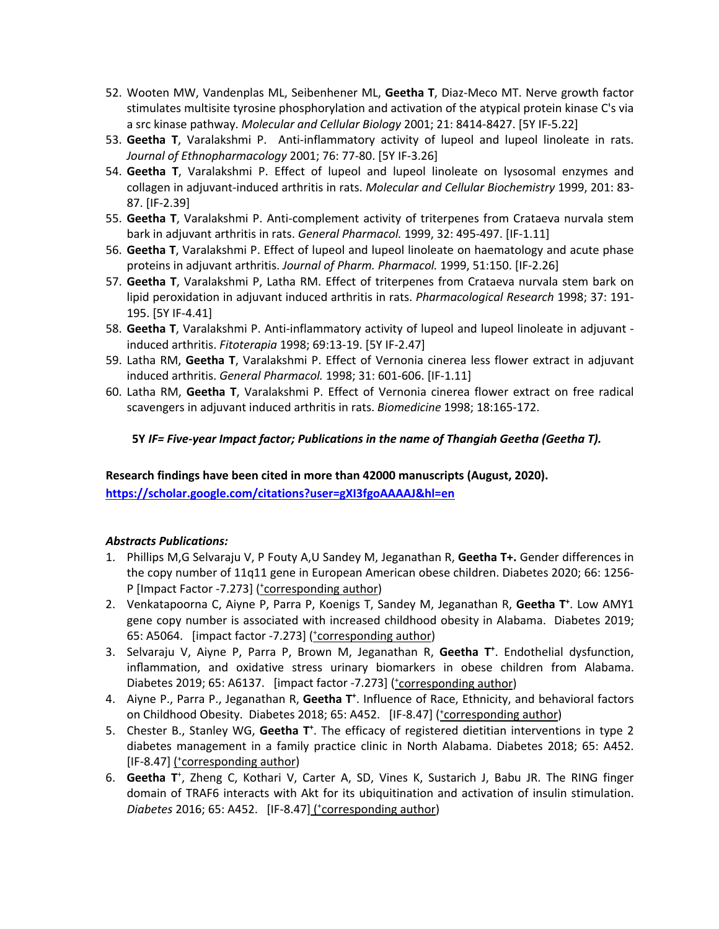- 52. Wooten MW, Vandenplas ML, Seibenhener ML, **Geetha T**, Diaz-Meco MT. Nerve growth factor stimulates multisite tyrosine phosphorylation and activation of the atypical protein kinase C's via a src kinase pathway. *Molecular and Cellular Biology* 2001; 21: 8414-8427. [5Y IF-5.22]
- 53. **Geetha T**, Varalakshmi P. Anti-inflammatory activity of lupeol and lupeol linoleate in rats. *Journal of Ethnopharmacology* 2001; 76: 77-80. [5Y IF-3.26]
- 54. **Geetha T**, Varalakshmi P. Effect of lupeol and lupeol linoleate on lysosomal enzymes and collagen in adjuvant-induced arthritis in rats. *Molecular and Cellular Biochemistry* 1999, 201: 83- 87. [IF-2.39]
- 55. **Geetha T**, Varalakshmi P. Anti-complement activity of triterpenes from Crataeva nurvala stem bark in adjuvant arthritis in rats. *General Pharmacol.* 1999, 32: 495-497. [IF-1.11]
- 56. **Geetha T**, Varalakshmi P. Effect of lupeol and lupeol linoleate on haematology and acute phase  proteins in adjuvant arthritis. *Journal of Pharm. Pharmacol.* 1999, 51:150. [IF-2.26]
- 57. **Geetha T**, Varalakshmi P, Latha RM. Effect of triterpenes from Crataeva nurvala stem bark on lipid peroxidation in adjuvant induced arthritis in rats. *Pharmacological Research* 1998; 37: 191- 195. [5Y IF-4.41]
- 58. **Geetha T**, Varalakshmi P. Anti-inflammatory activity of lupeol and lupeol linoleate in adjuvant induced arthritis. *Fitoterapia* 1998; 69:13-19. [5Y IF-2.47]
- 59. Latha RM, **Geetha T**, Varalakshmi P. Effect of Vernonia cinerea less flower extract in adjuvant induced arthritis. *General Pharmacol.* 1998; 31: 601-606. [IF-1.11]
- 60. Latha RM, **Geetha T**, Varalakshmi P. Effect of Vernonia cinerea flower extract on free radical scavengers in adjuvant induced arthritis in rats. *Biomedicine* 1998; 18:165-172.

# **5Y** *IF= Five-year Impact factor; Publications in the name of Thangiah Geetha (Geetha T).*

# **Research findings have been cited in more than 42000 manuscripts (August, 2020).**

**<https://scholar.google.com/citations?user=gXI3fgoAAAAJ&hl=en>** 

# *Abstracts Publications:*

- 1. Phillips M,G Selvaraju V, P Fouty A,U Sandey M, Jeganathan R, **Geetha T+.** Gender differences in the copy number of 11q11 gene in European American obese children. Diabetes 2020; 66: 1256- P [Impact Factor -7.273] (*'corresponding author*)
- 2. Venkatapoorna C, Aiyne P, Parra P, Koenigs T, Sandey M, Jeganathan R, Geetha T<sup>+</sup>. Low AMY1 gene copy number is associated with increased childhood obesity in Alabama. Diabetes 2019; 65: A5064. [impact factor -7.273] (*'corresponding author*)
- 3. Selvaraju V, Aiyne P, Parra P, Brown M, Jeganathan R, **Geetha T+** . Endothelial dysfunction, inflammation, and oxidative stress urinary biomarkers in obese children from Alabama. Diabetes 2019; 65: A6137. [impact factor -7.273] (*torresponding author*)
- 4. Aiyne P., Parra P., Jeganathan R, Geetha T<sup>+</sup>. Influence of Race, Ethnicity, and behavioral factors on Childhood Obesity. Diabetes 2018; 65: A452. [IF-8.47] (\*corresponding author)
- 5. Chester B., Stanley WG, Geetha T<sup>+</sup>. The efficacy of registered dietitian interventions in type 2 diabetes management in a family practice clinic in North Alabama. Diabetes 2018; 65: A452. [IF-8.47] (\*corresponding author)
- 6. Geetha T<sup>+</sup>, Zheng C, Kothari V, Carter A, SD, Vines K, Sustarich J, Babu JR. The RING finger domain of TRAF6 interacts with Akt for its ubiquitination and activation of insulin stimulation. *Diabetes* 2016; 65: A452. [IF-8.47] ( + corresponding author)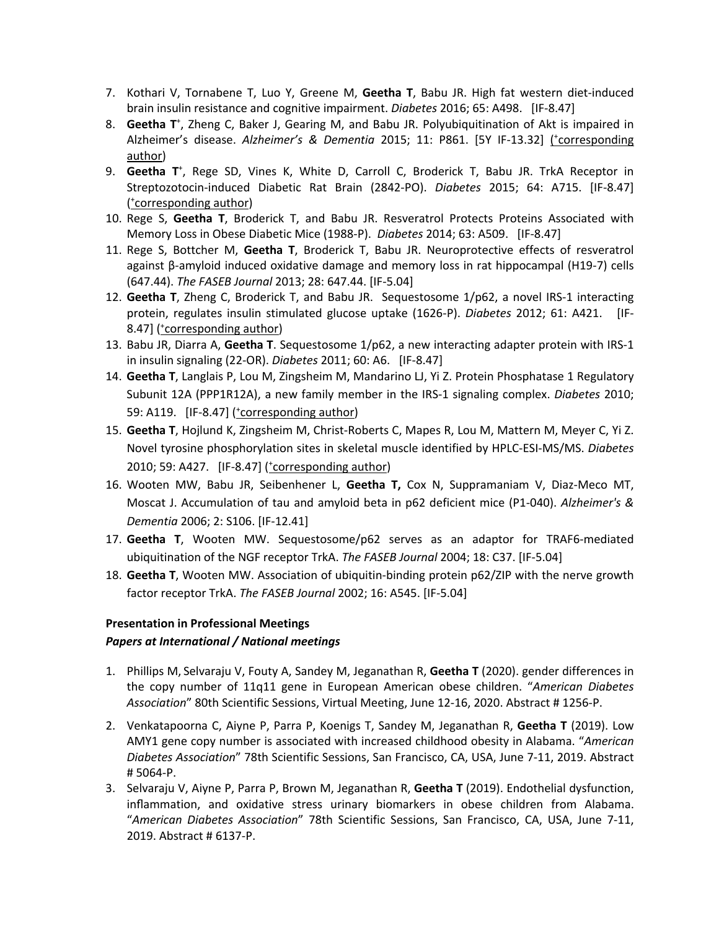- 7. Kothari V, Tornabene T, Luo Y, Greene M, **Geetha T**, Babu JR. High fat western diet-induced brain insulin resistance and cognitive impairment. *Diabetes* 2016; 65: A498. [IF-8.47]
- Alzheimer's disease. Alzheimer's & Dementia 2015; 11: P861. [5Y [IF-13.32](https://IF-13.32)] (torresponding 8. Geetha T<sup>+</sup>, Zheng C, Baker J, Gearing M, and Babu JR. Polyubiquitination of Akt is impaired in author)
- 9. Geetha T<sup>+</sup>, Rege SD, Vines K, White D, Carroll C, Broderick T, Babu JR. TrkA Receptor in Streptozotocin-induced Diabetic Rat Brain (2842-PO). *Diabetes* 2015; 64: A715. [IF-8.47] (*t*corresponding author)
- 10. Rege S, **Geetha T**, Broderick T, and Babu JR. Resveratrol Protects Proteins Associated with Memory Loss in Obese Diabetic Mice (1988-P). *Diabetes* 2014; 63: A509. [IF-8.47]
- 11. Rege S, Bottcher M, **Geetha T**, Broderick T, Babu JR. Neuroprotective effects of resveratrol against β-amyloid induced oxidative damage and memory loss in rat hippocampal (H19-7) cells  (647.44). *The FASEB Journal* 2013; 28: 647.44. [IF-5.04]
- 12. **Geetha T**, Zheng C, Broderick T, and Babu JR. Sequestosome 1/p62, a novel IRS-1 interacting protein, regulates insulin stimulated glucose uptake (1626-P). *Diabetes* 2012; 61: A421. [IF-8.47] (*'corresponding author*)
- 13. Babu JR, Diarra A, **Geetha T**. Sequestosome 1/p62, a new interacting adapter protein with IRS-1 in insulin signaling (22-OR). *Diabetes* 2011; 60: A6. [IF-8.47]
- Subunit 12A (PPP1R12A), a new family member in the IRS-1 signaling complex. *Diabetes* 2010; 14. **Geetha T**, Langlais P, Lou M, Zingsheim M, Mandarino LJ, Yi Z. Protein Phosphatase 1 Regulatory 59: A119. [IF-8.47] (*\*corresponding author*)
- 15. **Geetha T**, Hojlund K, Zingsheim M, Christ-Roberts C, Mapes R, Lou M, Mattern M, Meyer C, Yi Z. Novel tyrosine phosphorylation sites in skeletal muscle identified by HPLC-ESI-MS/MS. *Diabetes*  2010; 59: A427. [IF-8.47] (*\*corresponding author*)
- 16. Wooten MW, Babu JR, Seibenhener L, **Geetha T,** Cox N, Suppramaniam V, Diaz-Meco MT, Moscat J. Accumulation of tau and amyloid beta in p62 deficient mice (P1-040). *Alzheimer's & Dementia* 2006; 2: S106. [\[IF-12.41](https://IF-12.41)]
- ubiquitination of the NGF receptor TrkA. *The FASEB Journal* 2004; 18: C37. [IF-5.04] 17. **Geetha T**, Wooten MW. Sequestosome/p62 serves as an adaptor for TRAF6-mediated
- 18. **Geetha T**, Wooten MW. Association of ubiquitin-binding protein p62/ZIP with the nerve growth factor receptor TrkA. *The FASEB Journal* 2002; 16: A545. [IF-5.04]

# **Presentation in Professional Meetings**

### *Papers at International / National meetings*

- 1. Phillips M, Selvaraju V, Fouty A, Sandey M, Jeganathan R, **Geetha T** (2020). gender differences in the copy number of 11q11 gene in European American obese children. "*American Diabetes Association*" 80th Scientific Sessions, Virtual Meeting, June 12-16, 2020. Abstract # 1256-P.
- 2. Venkatapoorna C, Aiyne P, Parra P, Koenigs T, Sandey M, Jeganathan R, **Geetha T** (2019). Low AMY1 gene copy number is associated with increased childhood obesity in Alabama. "*American*  #5064-P. *Diabetes Association*" 78th Scientific Sessions, San Francisco, CA, USA, June 7-11, 2019. Abstract
- # 5064-P. 3. Selvaraju V, Aiyne P, Parra P, Brown M, Jeganathan R, **Geetha T** (2019). Endothelial dysfunction, inflammation, and oxidative stress urinary biomarkers in obese children from Alabama.  "*American Diabetes Association*" 78th Scientific Sessions, San Francisco, CA, USA, June 7-11, 2019. Abstract # 6137-P.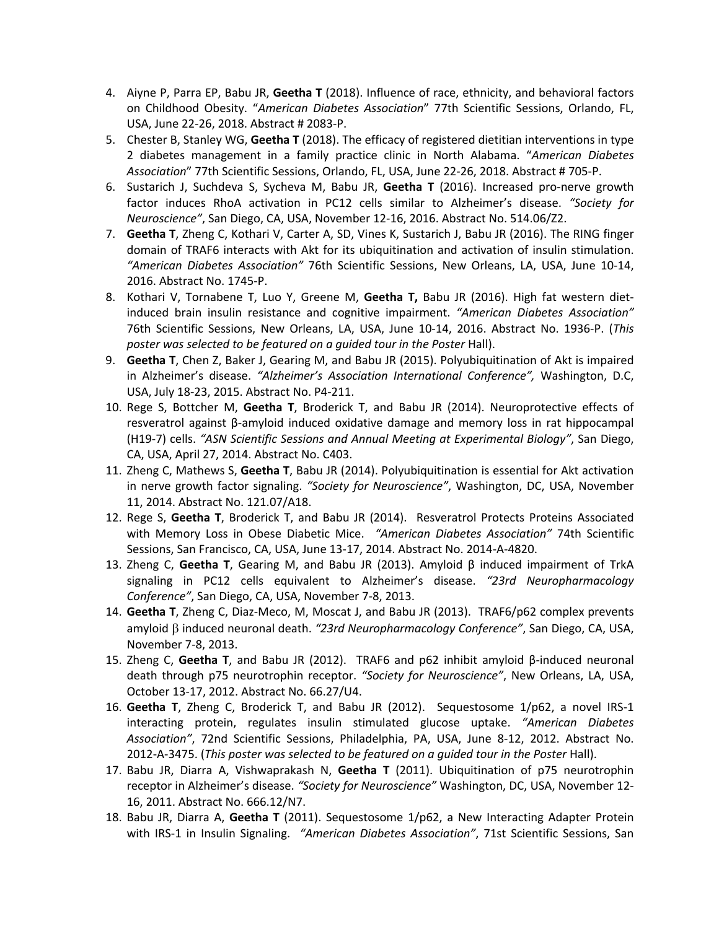- 4. Aiyne P, Parra EP, Babu JR, **Geetha T** (2018). Influence of race, ethnicity, and behavioral factors  on Childhood Obesity. "*American Diabetes Association*" 77th Scientific Sessions, Orlando, FL, USA, June 22-26, 2018. Abstract # 2083-P.
- 5. Chester B, Stanley WG, **Geetha T** (2018). The efficacy of registered dietitian interventions in type 2 diabetes management in a family practice clinic in North Alabama. "*American Diabetes Association*" 77th Scientific Sessions, Orlando, FL, USA, June 22-26, 2018. Abstract # 705-P.
- 6. Sustarich J, Suchdeva S, Sycheva M, Babu JR, **Geetha T** (2016). Increased pro-nerve growth factor induces RhoA activation in PC12 cells similar to Alzheimer's disease. *"Society for Neuroscience"*, San Diego, CA, USA, November 12-16, 2016. Abstract No. 514.06/Z2.
- 7. **Geetha T**, Zheng C, Kothari V, Carter A, SD, Vines K, Sustarich J, Babu JR (2016). The RING finger domain of TRAF6 interacts with Akt for its ubiquitination and activation of insulin stimulation. *"American Diabetes Association"* 76th Scientific Sessions, New Orleans, LA, USA, June 10-14, 2016. Abstract No. 1745-P.
- 8. Kothari V, Tornabene T, Luo Y, Greene M, **Geetha T,** Babu JR (2016). High fat western diet- induced brain insulin resistance and cognitive impairment. *"American Diabetes Association"*  76th Scientific Sessions, New Orleans, LA, USA, June 10-14, 2016. Abstract No. 1936-P. (*This poster was selected to be featured on a guided tour in the Poster* Hall).
- 9. **Geetha T**, Chen Z, Baker J, Gearing M, and Babu JR (2015). Polyubiquitination of Akt is impaired in Alzheimer's disease. *"Alzheimer's Association International Conference",* Washington, D.C, USA, July 18-23, 2015. Abstract No. P4-211.
- 10. Rege S, Bottcher M, **Geetha T**, Broderick T, and Babu JR (2014). Neuroprotective effects of resveratrol against β-amyloid induced oxidative damage and memory loss in rat hippocampal (H19-7) cells. *"ASN Scientific Sessions and Annual Meeting at Experimental Biology"*, San Diego, CA, USA, April 27, 2014. Abstract No. C403.
- 11. Zheng C, Mathews S, **Geetha T**, Babu JR (2014). Polyubiquitination is essential for Akt activation in nerve growth factor signaling. *"Society for Neuroscience"*, Washington, DC, USA, November 11, 2014. Abstract No. 121.07/A18.
- 12. Rege S, **Geetha T**, Broderick T, and Babu JR (2014). Resveratrol Protects Proteins Associated with Memory Loss in Obese Diabetic Mice. *"American Diabetes Association"* 74th Scientific Sessions, San Francisco, CA, USA, June 13-17, 2014. Abstract No. 2014-A-4820.
- 13. Zheng C, **Geetha T**, Gearing M, and Babu JR (2013). Amyloid β induced impairment of TrkA signaling in PC12 cells equivalent to Alzheimer's disease. *"23rd Neuropharmacology Conference"*, San Diego, CA, USA, November 7-8, 2013.
- 14. **Geetha T**, Zheng C, Diaz-Meco, M, Moscat J, and Babu JR (2013). TRAF6/p62 complex prevents November 7-8, 2013. amyloid b induced neuronal death. *"23rd Neuropharmacology Conference"*, San Diego, CA, USA,
- 15. Zheng C, **Geetha T**, and Babu JR (2012). TRAF6 and p62 inhibit amyloid β-induced neuronal October 13-17, 2012. Abstract No. 66.27/U4. death through p75 neurotrophin receptor. *"Society for Neuroscience"*, New Orleans, LA, USA,
- interacting protein, regulates insulin stimulated glucose uptake. *"American Diabetes Association"*, 72nd Scientific Sessions, Philadelphia, PA, USA, June 8-12, 2012. Abstract No. 2012-A-3475. (*This poster was selected to be featured on a guided tour in the Poster* Hall). 16. **Geetha T**, Zheng C, Broderick T, and Babu JR (2012). Sequestosome 1/p62, a novel IRS-1
- 17. Babu JR, Diarra A, Vishwaprakash N, **Geetha T** (2011). Ubiquitination of p75 neurotrophin receptor in Alzheimer's disease. *"Society for Neuroscience"* Washington, DC, USA, November 12- 16, 2011. Abstract No. 666.12/N7.
- 18. Babu JR, Diarra A, **Geetha T** (2011). Sequestosome 1/p62, a New Interacting Adapter Protein with IRS-1 in Insulin Signaling. *"American Diabetes Association"*, 71st Scientific Sessions, San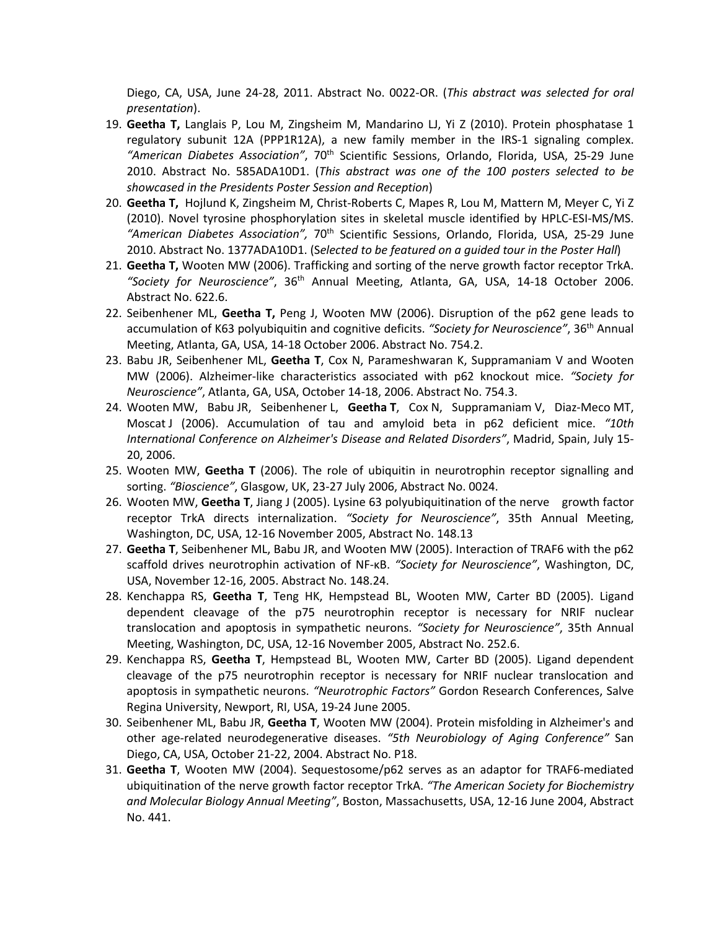Diego, CA, USA, June 24-28, 2011. Abstract No. 0022-OR. (*This abstract was selected for oral presentation*).

- 2010. Abstract No. 585ADA10D1. (*This abstract was one of the 100 posters selected to be showcased in the Presidents Poster Session and Reception*) 19. **Geetha T,** Langlais P, Lou M, Zingsheim M, Mandarino LJ, Yi Z (2010). Protein phosphatase 1 regulatory subunit 12A (PPP1R12A), a new family member in the IRS-1 signaling complex. *"American Diabetes Association"*, 70th Scientific Sessions, Orlando, Florida, USA, 25-29 June
- 20. **Geetha T,** Hojlund K, Zingsheim M, Christ-Roberts C, Mapes R, Lou M, Mattern M, Meyer C, Yi Z (2010). Novel tyrosine phosphorylation sites in skeletal muscle identified by HPLC-ESI-MS/MS. *"American Diabetes Association",* 70th Scientific Sessions, Orlando, Florida, USA, 25-29 June 2010. Abstract No. 1377ADA10D1. (S*elected to be featured on a guided tour in the Poster Hall*)
- 21. **Geetha T,** Wooten MW (2006). Trafficking and sorting of the nerve growth factor receptor TrkA. *"Society for Neuroscience"*, 36th Annual Meeting, Atlanta, GA, USA, 14-18 October 2006. Abstract No. 622.6.
- 22. Seibenhener ML, **Geetha T,** Peng J, Wooten MW (2006). Disruption of the p62 gene leads to accumulation of K63 polyubiquitin and cognitive deficits. *"Society for Neuroscience"*, 36th Annual Meeting, Atlanta, GA, USA, 14-18 October 2006. Abstract No. 754.2.
- 23. Babu JR, Seibenhener ML, **Geetha T**, Cox N, Parameshwaran K, Suppramaniam V and Wooten MW (2006). Alzheimer-like characteristics associated with p62 knockout mice. *"Society for Neuroscience"*, Atlanta, GA, USA, October 14-18, 2006. Abstract No. 754.3.
- Moscat J (2006). Accumulation of tau and amyloid beta in p62 deficient mice. *"10th International Conference on Alzheimer's Disease and Related Disorders"*, Madrid, Spain, July 15- 24. Wooten MW, Babu JR, Seibenhener L, **Geetha T**, Cox N, Suppramaniam V, Diaz-Meco MT, 20, 2006.
- 25. Wooten MW, **Geetha T** (2006). The role of ubiquitin in neurotrophin receptor signalling and sorting. *"Bioscience"*, Glasgow, UK, 23-27 July 2006, Abstract No. 0024.
- 26. Wooten MW, **Geetha T**, Jiang J (2005). Lysine 63 polyubiquitination of the nerve growth factor Washington, DC, USA, 12-16 November 2005, Abstract No. 148.13 receptor TrkA directs internalization. *"Society for Neuroscience"*, 35th Annual Meeting,
- 27. **Geetha T**, Seibenhener ML, Babu JR, and Wooten MW (2005). Interaction of TRAF6 with the p62 USA, November 12-16, 2005. Abstract No. 148.24. scaffold drives neurotrophin activation of NF-κB. *"Society for Neuroscience"*, Washington, DC,
- 28. Kenchappa RS, **Geetha T**, Teng HK, Hempstead BL, Wooten MW, Carter BD (2005). Ligand dependent cleavage of the p75 neurotrophin receptor is necessary for NRIF nuclear Meeting, Washington, DC, USA, 12-16 November 2005, Abstract No. 252.6. translocation and apoptosis in sympathetic neurons. *"Society for Neuroscience"*, 35th Annual
- 29. Kenchappa RS, **Geetha T**, Hempstead BL, Wooten MW, Carter BD (2005). Ligand dependent cleavage of the p75 neurotrophin receptor is necessary for NRIF nuclear translocation and apoptosis in sympathetic neurons. *"Neurotrophic Factors"* Gordon Research Conferences, Salve Regina University, Newport, RI, USA, 19-24 June 2005.
- 30. Seibenhener ML, Babu JR, **Geetha T**, Wooten MW (2004). Protein misfolding in Alzheimer's and other age-related neurodegenerative diseases. *"5th Neurobiology of Aging Conference"* San Diego, CA, USA, October 21-22, 2004. Abstract No. P18.
- 31. **Geetha T**, Wooten MW (2004). Sequestosome/p62 serves as an adaptor for TRAF6-mediated ubiquitination of the nerve growth factor receptor TrkA. *"The American Society for Biochemistry and Molecular Biology Annual Meeting"*, Boston, Massachusetts, USA, 12-16 June 2004, Abstract No. 441.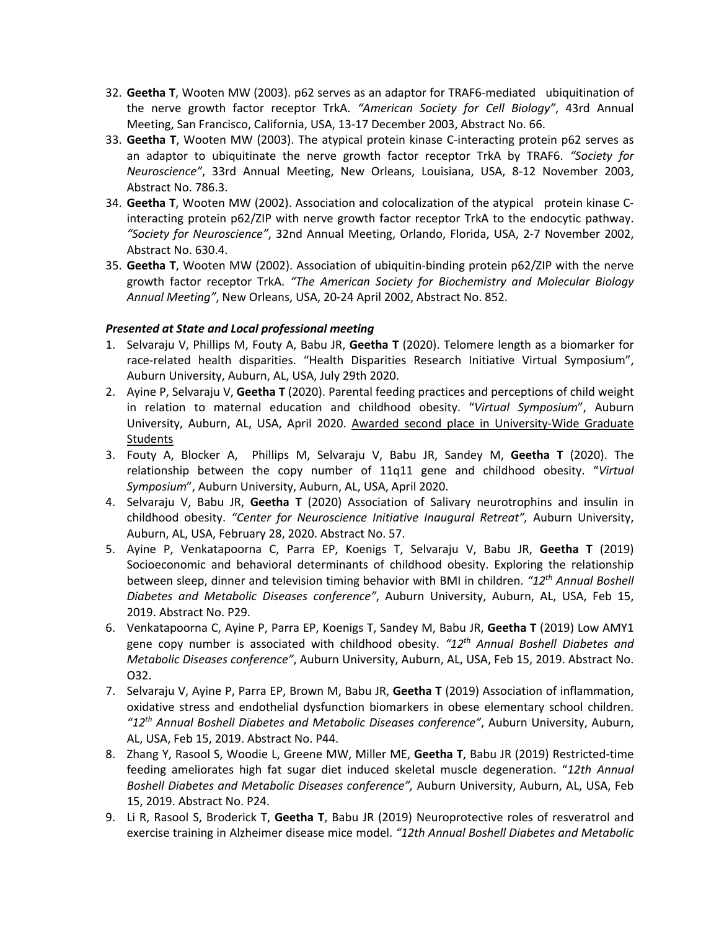- 32. **Geetha T**, Wooten MW (2003). p62 serves as an adaptor for TRAF6-mediated ubiquitination of the nerve growth factor receptor TrkA. *"American Society for Cell Biology"*, 43rd Annual Meeting, San Francisco, California, USA, 13-17 December 2003, Abstract No. 66.
- 33. **Geetha T**, Wooten MW (2003). The atypical protein kinase C-interacting protein p62 serves as an adaptor to ubiquitinate the nerve growth factor receptor TrkA by TRAF6. *"Society for*  Abstract No. 786.3. *Neuroscience"*, 33rd Annual Meeting, New Orleans, Louisiana, USA, 8-12 November 2003,
- 34. **Geetha T**, Wooten MW (2002). Association and colocalization of the atypical protein kinase C- interacting protein p62/ZIP with nerve growth factor receptor TrkA to the endocytic pathway. *"Society for Neuroscience"*, 32nd Annual Meeting, Orlando, Florida, USA, 2-7 November 2002, Abstract No. 630.4.
- 35. **Geetha T**, Wooten MW (2002). Association of ubiquitin-binding protein p62/ZIP with the nerve  growth factor receptor TrkA. *"The American Society for Biochemistry and Molecular Biology Annual Meeting"*, New Orleans, USA, 20-24 April 2002, Abstract No. 852.

### *Presented at State and Local professional meeting*

- 1. Selvaraju V, Phillips M, Fouty A, Babu JR, **Geetha T** (2020). Telomere length as a biomarker for race-related health disparities. "Health Disparities Research Initiative Virtual Symposium", Auburn University, Auburn, AL, USA, July 29th 2020.
- 2. Ayine P, Selvaraju V, **Geetha T** (2020). Parental feeding practices and perceptions of child weight in relation to maternal education and childhood obesity. "*Virtual Symposium*", Auburn University, Auburn, AL, USA, April 2020. Awarded second place in University-Wide Graduate Students
- Symposium", Auburn University, Auburn, AL, USA, April 2020. 3. Fouty A, Blocker A, Phillips M, Selvaraju V, Babu JR, Sandey M, **Geetha T** (2020). The relationship between the copy number of 11q11 gene and childhood obesity. "*Virtual*
- *Symposium*", Auburn University, Auburn, AL, USA, April 2020. 4. Selvaraju V, Babu JR, **Geetha T** (2020) Association of Salivary neurotrophins and insulin in  childhood obesity. *"Center for Neuroscience Initiative Inaugural Retreat",* Auburn University, Auburn, AL, USA, February 28, 2020. Abstract No. 57.
- 5. Ayine P, Venkatapoorna C, Parra EP, Koenigs T, Selvaraju V, Babu JR, **Geetha T** (2019) Socioeconomic and behavioral determinants of childhood obesity. Exploring the relationship  between sleep, dinner and television timing behavior with BMI in children. *"12th Annual Boshell Diabetes and Metabolic Diseases conference"*, Auburn University, Auburn, AL, USA, Feb 15, 2019. Abstract No. P29.
- 6. Venkatapoorna C, Ayine P, Parra EP, Koenigs T, Sandey M, Babu JR, **Geetha T** (2019) Low AMY1 gene copy number is associated with childhood obesity. *"12th Annual Boshell Diabetes and Metabolic Diseases conference"*, Auburn University, Auburn, AL, USA, Feb 15, 2019. Abstract No. O32.
- 7. Selvaraju V, Ayine P, Parra EP, Brown M, Babu JR, **Geetha T** (2019) Association of inflammation,  *"12th Annual Boshell Diabetes and Metabolic Diseases conference"*, Auburn University, Auburn, AL, USA, Feb 15, 2019. Abstract No. P44. oxidative stress and endothelial dysfunction biomarkers in obese elementary school children.
- 8. Zhang Y, Rasool S, Woodie L, Greene MW, Miller ME, **Geetha T**, Babu JR (2019) Restricted-time feeding ameliorates high fat sugar diet induced skeletal muscle degeneration. "*12th Annual Boshell Diabetes and Metabolic Diseases conference",* Auburn University, Auburn, AL, USA, Feb 15, 2019. Abstract No. P24.
- 9. Li R, Rasool S, Broderick T, **Geetha T**, Babu JR (2019) Neuroprotective roles of resveratrol and exercise training in Alzheimer disease mice model. *"12th Annual Boshell Diabetes and Metabolic*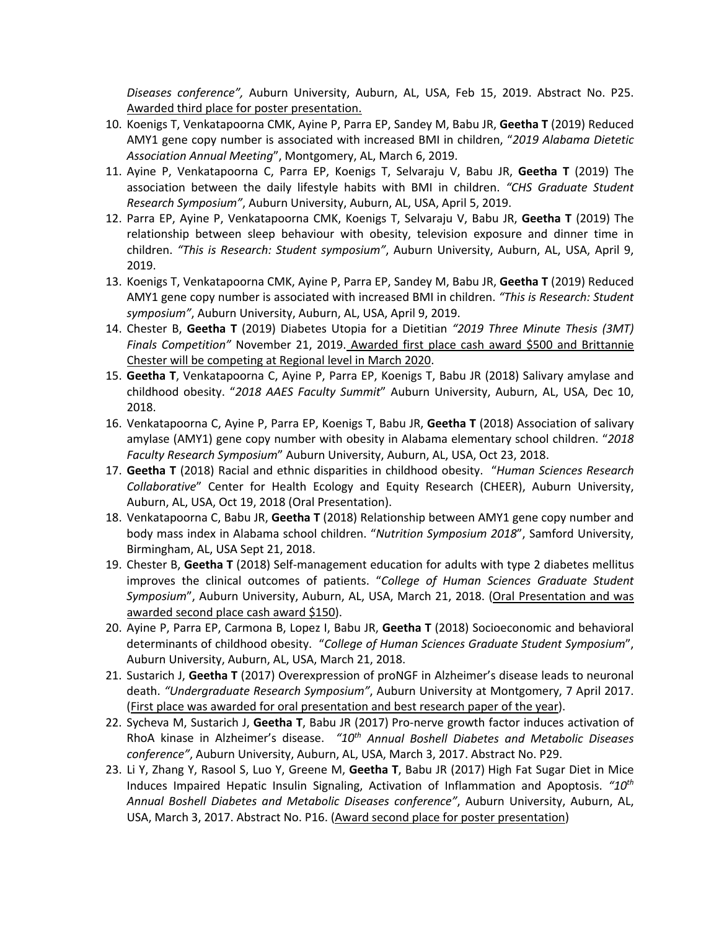*Diseases conference",* Auburn University, Auburn, AL, USA, Feb 15, 2019. Abstract No. P25. Awarded third place for poster presentation.

- 10. Koenigs T, Venkatapoorna CMK, Ayine P, Parra EP, Sandey M, Babu JR, **Geetha T** (2019) Reduced AMY1 gene copy number is associated with increased BMI in children, "*2019 Alabama Dietetic Association Annual Meeting*", Montgomery, AL, March 6, 2019.
- 11. Ayine P, Venkatapoorna C, Parra EP, Koenigs T, Selvaraju V, Babu JR, **Geetha T** (2019) The association between the daily lifestyle habits with BMI in children. *"CHS Graduate Student Research Symposium"*, Auburn University, Auburn, AL, USA, April 5, 2019.
- 12. Parra EP, Ayine P, Venkatapoorna CMK, Koenigs T, Selvaraju V, Babu JR, **Geetha T** (2019) The  children. *"This is Research: Student symposium"*, Auburn University, Auburn, AL, USA, April 9, 2019. relationship between sleep behaviour with obesity, television exposure and dinner time in
- 2019. 13. Koenigs T, Venkatapoorna CMK, Ayine P, Parra EP, Sandey M, Babu JR, **Geetha T** (2019) Reduced AMY1 gene copy number is associated with increased BMI in children. *"This is Research: Student*  symposium", Auburn University, Auburn, AL, USA, April 9, 2019.
- *symposium"*, Auburn University, Auburn, AL, USA, April 9, 2019. 14. Chester B, **Geetha T** (2019) Diabetes Utopia for a Dietitian *"2019 Three Minute Thesis (3MT) Finals Competition"* November 21, 2019. Awarded first place cash award \$500 and Brittannie Chester will be competing at Regional level in March 2020.
- 15. **Geetha T**, Venkatapoorna C, Ayine P, Parra EP, Koenigs T, Babu JR (2018) Salivary amylase and  childhood obesity. "*2018 AAES Faculty Summit*" Auburn University, Auburn, AL, USA, Dec 10, 2018.
- 16. Venkatapoorna C, Ayine P, Parra EP, Koenigs T, Babu JR, **Geetha T** (2018) Association of salivary amylase (AMY1) gene copy number with obesity in Alabama elementary school children. "*2018 Faculty Research Symposium*" Auburn University, Auburn, AL, USA, Oct 23, 2018.
- 17. **Geetha T** (2018) Racial and ethnic disparities in childhood obesity. "*Human Sciences Research Collaborative*" Center for Health Ecology and Equity Research (CHEER), Auburn University, Auburn, AL, USA, Oct 19, 2018 (Oral Presentation).
- 18. Venkatapoorna C, Babu JR, **Geetha T** (2018) Relationship between AMY1 gene copy number and body mass index in Alabama school children. "*Nutrition Symposium 2018*", Samford University, Birmingham, AL, USA Sept 21, 2018.
- 19. Chester B, **Geetha T** (2018) Self-management education for adults with type 2 diabetes mellitus improves the clinical outcomes of patients. "*College of Human Sciences Graduate Student Symposium*", Auburn University, Auburn, AL, USA, March 21, 2018. (Oral Presentation and was awarded second place cash award \$150).
- 20. Ayine P, Parra EP, Carmona B, Lopez I, Babu JR, **Geetha T** (2018) Socioeconomic and behavioral determinants of childhood obesity. "*College of Human Sciences Graduate Student Symposium*", Auburn University, Auburn, AL, USA, March 21, 2018.
- 21. Sustarich J, **Geetha T** (2017) Overexpression of proNGF in Alzheimer's disease leads to neuronal  death. *"Undergraduate Research Symposium"*, Auburn University at Montgomery, 7 April 2017. (First place was awarded for oral presentation and best research paper of the year).
- RhoA kinase in Alzheimer's disease. *"10th Annual Boshell Diabetes and Metabolic Diseases*  22. Sycheva M, Sustarich J, **Geetha T**, Babu JR (2017) Pro-nerve growth factor induces activation of *conference"*, Auburn University, Auburn, AL, USA, March 3, 2017. Abstract No. P29.
- 23. Li Y, Zhang Y, Rasool S, Luo Y, Greene M, **Geetha T**, Babu JR (2017) High Fat Sugar Diet in Mice Induces Impaired Hepatic Insulin Signaling, Activation of Inflammation and Apoptosis. *"10th Annual Boshell Diabetes and Metabolic Diseases conference"*, Auburn University, Auburn, AL, USA, March 3, 2017. Abstract No. P16. (Award second place for poster presentation)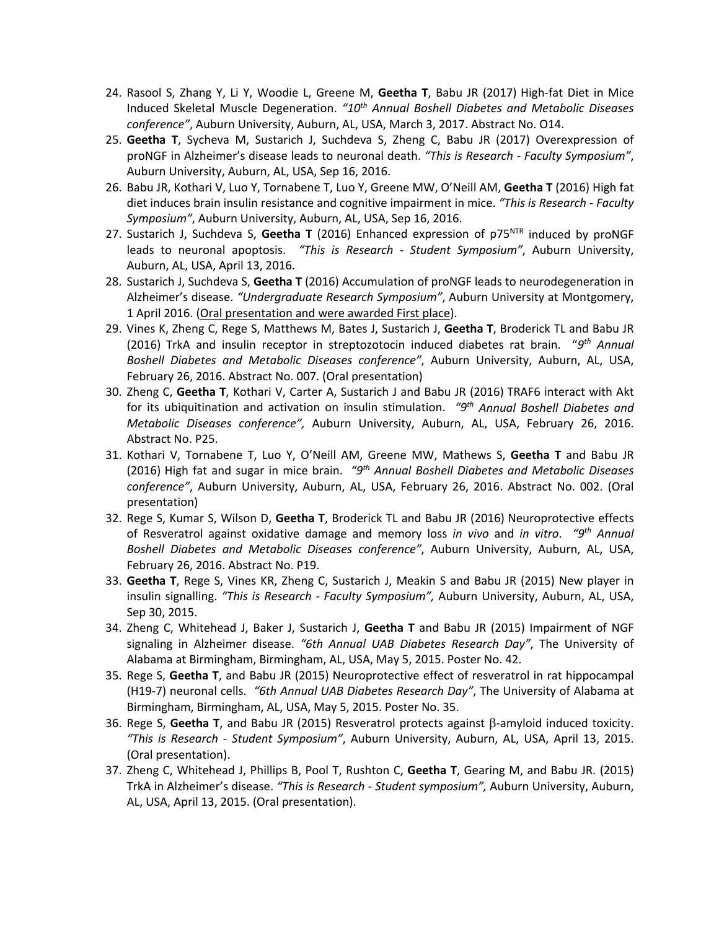- 24. Rasool S, Zhang Y, Li Y, Woodie L, Greene M, **Geetha T**, Babu JR (2017) High-fat Diet in Mice Induced Skeletal Muscle Degeneration. *"10th Annual Boshell Diabetes and Metabolic Diseases conference"*, Auburn University, Auburn, AL, USA, March 3, 2017. Abstract No. O14.
- 25. **Geetha T**, Sycheva M, Sustarich J, Suchdeva S, Zheng C, Babu JR (2017) Overexpression of proNGF in Alzheimer's disease leads to neuronal death. *"This is Research - Faculty Symposium"*, Auburn University, Auburn, AL, USA, Sep 16, 2016.
- 26. Babu JR, Kothari V, Luo Y, Tornabene T, Luo Y, Greene MW, O'Neill AM, **Geetha T** (2016) High fat *Symposium"*, Auburn University, Auburn, AL, USA, Sep 16, 2016. diet induces brain insulin resistance and cognitive impairment in mice. *"This is Research - Faculty*
- 27. Sustarich J, Suchdeva S, **Geetha T** (2016) Enhanced expression of p75NTR induced by proNGF leads to neuronal apoptosis. *"This is Research - Student Symposium"*, Auburn University, Auburn, AL, USA, April 13, 2016.
- 28. Sustarich J, Suchdeva S, **Geetha T** (2016) Accumulation of proNGF leads to neurodegeneration in Alzheimer's disease. *"Undergraduate Research Symposium"*, Auburn University at Montgomery, 1 April 2016. (Oral presentation and were awarded First place).
- (2016) TrkA and insulin receptor in streptozotocin induced diabetes rat brain. "9<sup>th</sup> Annual  *Boshell Diabetes and Metabolic Diseases conference"*, Auburn University, Auburn, AL, USA, 29. Vines K, Zheng C, Rege S, Matthews M, Bates J, Sustarich J, **Geetha T**, Broderick TL and Babu JR February 26, 2016. Abstract No. 007. (Oral presentation)
- 30. Zheng C, **Geetha T**, Kothari V, Carter A, Sustarich J and Babu JR (2016) TRAF6 interact with Akt for its ubiquitination and activation on insulin stimulation. *"9th Annual Boshell Diabetes and Metabolic Diseases conference",* Auburn University, Auburn, AL, USA, February 26, 2016. Abstract No. P25.
- 31. Kothari V, Tornabene T, Luo Y, O'Neill AM, Greene MW, Mathews S, **Geetha T** and Babu JR (2016) High fat and sugar in mice brain. *"9th Annual Boshell Diabetes and Metabolic Diseases conference"*, Auburn University, Auburn, AL, USA, February 26, 2016. Abstract No. 002. (Oral presentation)
- 32. Rege S, Kumar S, Wilson D, **Geetha T**, Broderick TL and Babu JR (2016) Neuroprotective effects of Resveratrol against oxidative damage and memory loss *in vivo* and *in vitro*. *"9th Annual Boshell Diabetes and Metabolic Diseases conference"*, Auburn University, Auburn, AL, USA, February 26, 2016. Abstract No. P19.
- 33. **Geetha T**, Rege S, Vines KR, Zheng C, Sustarich J, Meakin S and Babu JR (2015) New player in insulin signalling. *"This is Research - Faculty Symposium",* Auburn University, Auburn, AL, USA, Sep 30, 2015.
- signaling in Alzheimer disease. *"6th Annual UAB Diabetes Research Day"*, The University of Alabama at Birmingham, Birmingham, AL, USA, May 5, 2015. Poster No. 42. 34. Zheng C, Whitehead J, Baker J, Sustarich J, **Geetha T** and Babu JR (2015) Impairment of NGF
- (H19-7) neuronal cells. *"6th Annual UAB Diabetes Research Day"*, The University of Alabama at Birmingham, Birmingham, AL, USA, May 5, 2015. Poster No. 35. 35. Rege S, **Geetha T**, and Babu JR (2015) Neuroprotective effect of resveratrol in rat hippocampal
- *"This is Research - Student Symposium"*, Auburn University, Auburn, AL, USA, April 13, 2015. 36. Rege S, Geetha T, and Babu JR (2015) Resveratrol protects against  $\beta$ -amyloid induced toxicity. (Oral presentation).
- TrkA in Alzheimer's disease. *"This is Research - Student symposium",* Auburn University, Auburn, AL, USA, April 13, 2015. (Oral presentation). 37. Zheng C, Whitehead J, Phillips B, Pool T, Rushton C, **Geetha T**, Gearing M, and Babu JR. (2015)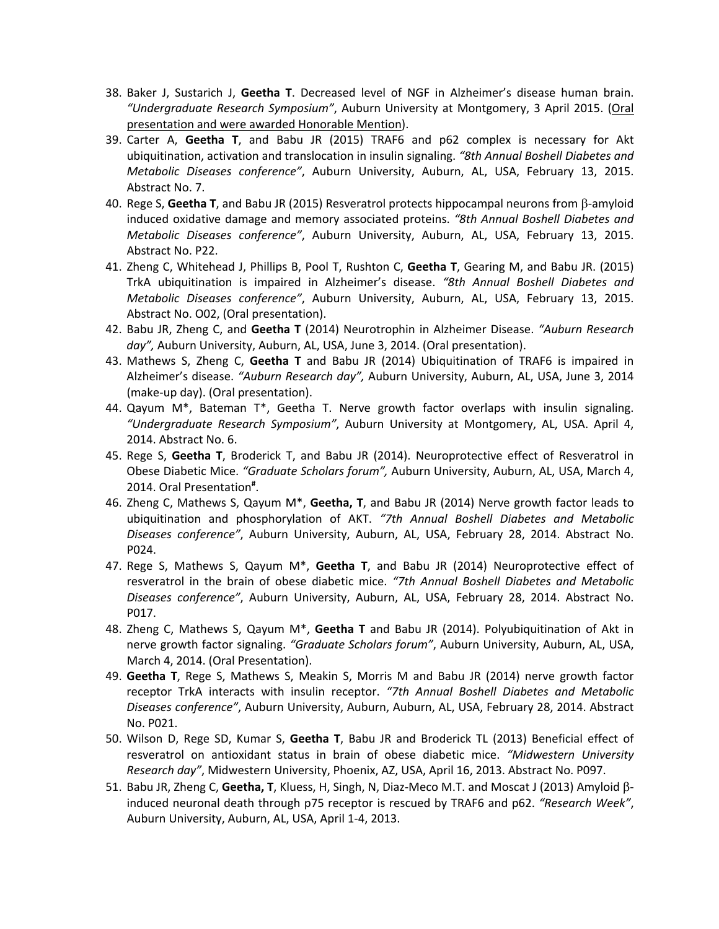- 38. Baker J, Sustarich J, **Geetha T**. Decreased level of NGF in Alzheimer's disease human brain.  *"Undergraduate Research Symposium"*, Auburn University at Montgomery, 3 April 2015. (Oral presentation and were awarded Honorable Mention).
- 39. Carter A, **Geetha T**, and Babu JR (2015) TRAF6 and p62 complex is necessary for Akt  ubiquitination, activation and translocation in insulin signaling. *"8th Annual Boshell Diabetes and Metabolic Diseases conference"*, Auburn University, Auburn, AL, USA, February 13, 2015. Abstract No. 7.
- induced oxidative damage and memory associated proteins. *"8th Annual Boshell Diabetes and Metabolic Diseases conference"*, Auburn University, Auburn, AL, USA, February 13, 2015. Abstract No. P22. 40. Rege S, **Geetha T**, and Babu JR (2015) Resveratrol protects hippocampal neurons from b-amyloid
- TrkA ubiquitination is impaired in Alzheimer's disease. *"8th Annual Boshell Diabetes and Metabolic Diseases conference"*, Auburn University, Auburn, AL, USA, February 13, 2015. Abstract No. O02, (Oral presentation). 41. Zheng C, Whitehead J, Phillips B, Pool T, Rushton C, **Geetha T**, Gearing M, and Babu JR. (2015)
- 42. Babu JR, Zheng C, and **Geetha T** (2014) Neurotrophin in Alzheimer Disease. *"Auburn Research day",* Auburn University, Auburn, AL, USA, June 3, 2014. (Oral presentation).
- 43. Mathews S, Zheng C, **Geetha T** and Babu JR (2014) Ubiquitination of TRAF6 is impaired in Alzheimer's disease. *"Auburn Research day",* Auburn University, Auburn, AL, USA, June 3, 2014 (make-up day). (Oral presentation).
- 44. Qayum M\*, Bateman T\*, Geetha T. Nerve growth factor overlaps with insulin signaling.  *"Undergraduate Research Symposium"*, Auburn University at Montgomery, AL, USA. April 4, 2014. Abstract No. 6.
- 45. Rege S, **Geetha T**, Broderick T, and Babu JR (2014). Neuroprotective effect of Resveratrol in Obese Diabetic Mice. *"Graduate Scholars forum",* Auburn University, Auburn, AL, USA, March 4, 2014. Oral Presentation**#** .
- ubiquitination and phosphorylation of AKT. *"7th Annual Boshell Diabetes and Metabolic Diseases conference"*, Auburn University, Auburn, AL, USA, February 28, 2014. Abstract No. 46. Zheng C, Mathews S, Qayum M\*, **Geetha, T**, and Babu JR (2014) Nerve growth factor leads to P024.
- 47. Rege S, Mathews S, Qayum M\*, **Geetha T**, and Babu JR (2014) Neuroprotective effect of resveratrol in the brain of obese diabetic mice. *"7th Annual Boshell Diabetes and Metabolic Diseases conference"*, Auburn University, Auburn, AL, USA, February 28, 2014. Abstract No. P017.
- March 4, 2014. (Oral Presentation). 48. Zheng C, Mathews S, Qayum M\*, **Geetha T** and Babu JR (2014). Polyubiquitination of Akt in nerve growth factor signaling. *"Graduate Scholars forum"*, Auburn University, Auburn, AL, USA,
- receptor TrkA interacts with insulin receptor. *"7th Annual Boshell Diabetes and Metabolic Diseases conference"*, Auburn University, Auburn, Auburn, AL, USA, February 28, 2014. Abstract No. P021. 49. **Geetha T**, Rege S, Mathews S, Meakin S, Morris M and Babu JR (2014) nerve growth factor
- 50. Wilson D, Rege SD, Kumar S, **Geetha T**, Babu JR and Broderick TL (2013) Beneficial effect of resveratrol on antioxidant status in brain of obese diabetic mice. *"Midwestern University Research day"*, Midwestern University, Phoenix, AZ, USA, April 16, 2013. Abstract No. P097.
- 51. Babu JR, Zheng C, Geetha, T, Kluess, H, Singh, N, Diaz-Meco M.T. and Moscat J (2013) Amyloid β- induced neuronal death through p75 receptor is rescued by TRAF6 and p62. *"Research Week"*, Auburn University, Auburn, AL, USA, April 1-4, 2013.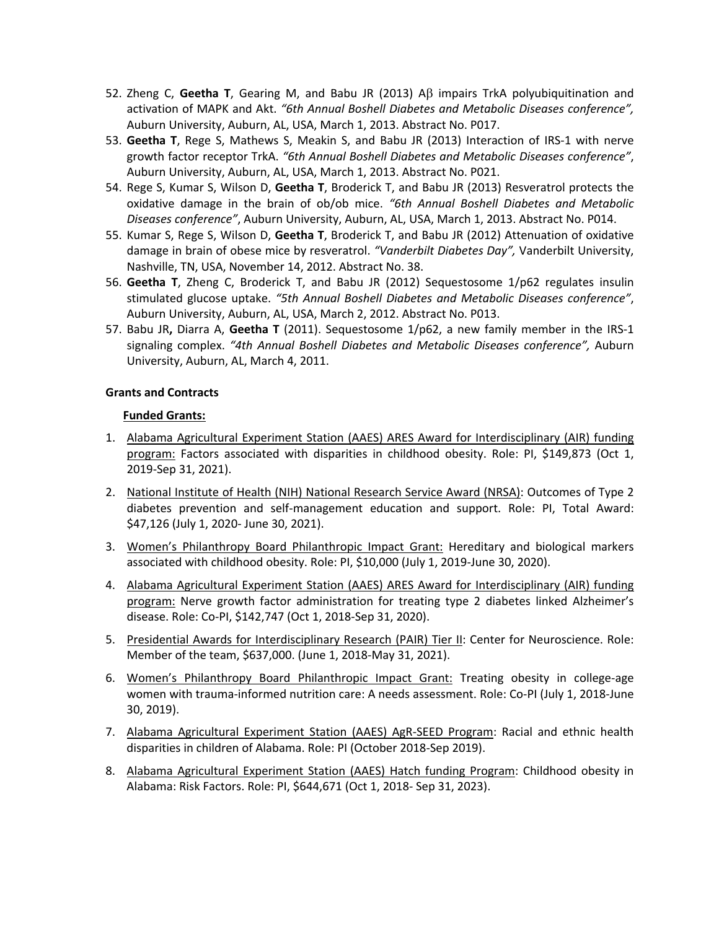- 52. Zheng C, Geetha T, Gearing M, and Babu JR (2013) Aß impairs TrkA polyubiquitination and activation of MAPK and Akt. *"6th Annual Boshell Diabetes and Metabolic Diseases conference",*  Auburn University, Auburn, AL, USA, March 1, 2013. Abstract No. P017.
- 53. **Geetha T**, Rege S, Mathews S, Meakin S, and Babu JR (2013) Interaction of IRS-1 with nerve  growth factor receptor TrkA. *"6th Annual Boshell Diabetes and Metabolic Diseases conference"*, Auburn University, Auburn, AL, USA, March 1, 2013. Abstract No. P021.
- 54. Rege S, Kumar S, Wilson D, **Geetha T**, Broderick T, and Babu JR (2013) Resveratrol protects the oxidative damage in the brain of ob/ob mice. *"6th Annual Boshell Diabetes and Metabolic Diseases conference"*, Auburn University, Auburn, AL, USA, March 1, 2013. Abstract No. P014.
- 55. Kumar S, Rege S, Wilson D, **Geetha T**, Broderick T, and Babu JR (2012) Attenuation of oxidative damage in brain of obese mice by resveratrol. *"Vanderbilt Diabetes Day",* Vanderbilt University, Nashville, TN, USA, November 14, 2012. Abstract No. 38.
- 56. **Geetha T**, Zheng C, Broderick T, and Babu JR (2012) Sequestosome 1/p62 regulates insulin stimulated glucose uptake. *"5th Annual Boshell Diabetes and Metabolic Diseases conference"*, Auburn University, Auburn, AL, USA, March 2, 2012. Abstract No. P013.
- 57. Babu JR**,** Diarra A, **Geetha T** (2011). Sequestosome 1/p62, a new family member in the IRS-1 signaling complex. *"4th Annual Boshell Diabetes and Metabolic Diseases conference",* Auburn University, Auburn, AL, March 4, 2011.

### **Grants and Contracts**

### **Funded Grants:**

- 1. Alabama Agricultural Experiment Station (AAES) ARES Award for Interdisciplinary (AIR) funding program: Factors associated with disparities in childhood obesity. Role: PI, \$149,873 (Oct 1, 2019-Sep 31, 2021).
- 2. National Institute of Health (NIH) National Research Service Award (NRSA): Outcomes of Type 2 diabetes prevention and self-management education and support. Role: PI, Total Award: \$47,126 (July 1, 2020- June 30, 2021).
- 3. Women's Philanthropy Board Philanthropic Impact Grant: Hereditary and biological markers associated with childhood obesity. Role: PI, \$10,000 (July 1, 2019-June 30, 2020).
- 4. Alabama Agricultural Experiment Station (AAES) ARES Award for Interdisciplinary (AIR) funding program: Nerve growth factor administration for treating type 2 diabetes linked Alzheimer's disease. Role: Co-PI, \$142,747 (Oct 1, 2018-Sep 31, 2020).
- 5. Presidential Awards for Interdisciplinary Research (PAIR) Tier II: Center for Neuroscience. Role: Member of the team, \$637,000. (June 1, 2018-May 31, 2021).
- 6. Women's Philanthropy Board Philanthropic Impact Grant: Treating obesity in college-age women with trauma-informed nutrition care: A needs assessment. Role: Co-PI (July 1, 2018-June 30, 2019).
- 7. Alabama Agricultural Experiment Station (AAES) AgR-SEED Program: Racial and ethnic health disparities in children of Alabama. Role: PI (October 2018-Sep 2019).
- 8. Alabama Agricultural Experiment Station (AAES) Hatch funding Program: Childhood obesity in Alabama: Risk Factors. Role: PI, \$644,671 (Oct 1, 2018- Sep 31, 2023).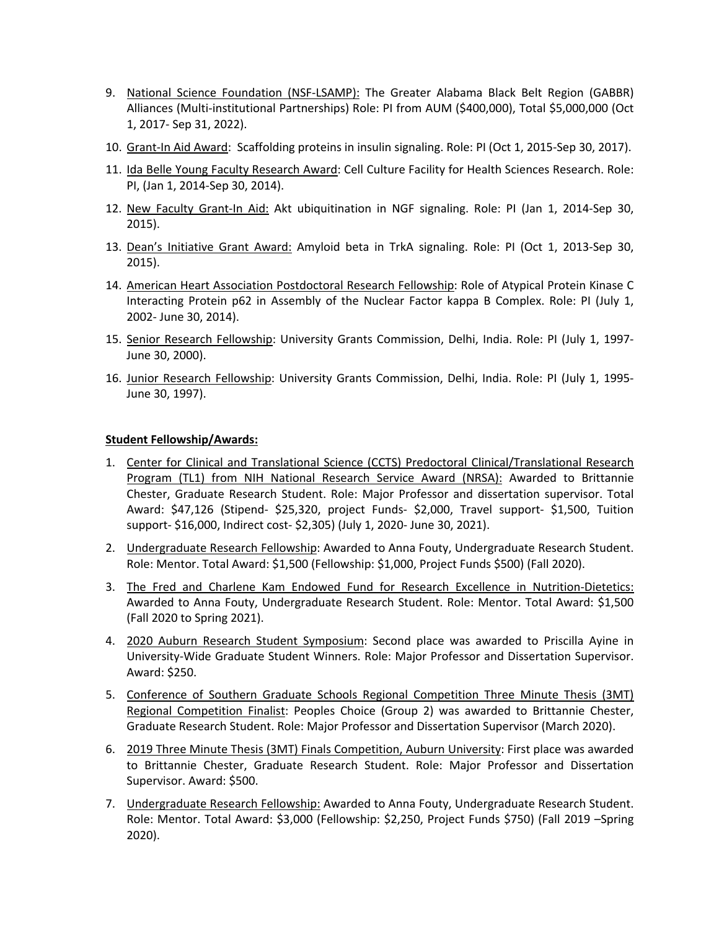- 9. National Science Foundation (NSF-LSAMP): The Greater Alabama Black Belt Region (GABBR) Alliances (Multi-institutional Partnerships) Role: PI from AUM (\$400,000), Total \$5,000,000 (Oct 1, 2017- Sep 31, 2022).
- 10. Grant-In Aid Award: Scaffolding proteins in insulin signaling. Role: PI (Oct 1, 2015-Sep 30, 2017).
- 11. Ida Belle Young Faculty Research Award: Cell Culture Facility for Health Sciences Research. Role: PI, (Jan 1, 2014-Sep 30, 2014).
- 12. New Faculty Grant-In Aid: Akt ubiquitination in NGF signaling. Role: PI (Jan 1, 2014-Sep 30, 2015).
- 13. Dean's Initiative Grant Award: Amyloid beta in TrkA signaling. Role: PI (Oct 1, 2013-Sep 30, 2015).
- 14. American Heart Association Postdoctoral Research Fellowship: Role of Atypical Protein Kinase C Interacting Protein p62 in Assembly of the Nuclear Factor kappa B Complex. Role: PI (July 1, 2002- June 30, 2014).
- 15. Senior Research Fellowship: University Grants Commission, Delhi, India. Role: PI (July 1, 1997- June 30, 2000).
- 16. Junior Research Fellowship: University Grants Commission, Delhi, India. Role: PI (July 1, 1995-June 30, 1997).

### **Student Fellowship/Awards:**

- 1. Center for Clinical and Translational Science (CCTS) Predoctoral Clinical/Translational Research Program (TL1) from NIH National Research Service Award (NRSA): Awarded to Brittannie Chester, Graduate Research Student. Role: Major Professor and dissertation supervisor. Total Award: \$47,126 (Stipend- \$25,320, project Funds- \$2,000, Travel support- \$1,500, Tuition support- \$16,000, Indirect cost- \$2,305) (July 1, 2020- June 30, 2021).
- 2. Undergraduate Research Fellowship: Awarded to Anna Fouty, Undergraduate Research Student. Role: Mentor. Total Award: \$1,500 (Fellowship: \$1,000, Project Funds \$500) (Fall 2020).
- 3. The Fred and Charlene Kam Endowed Fund for Research Excellence in Nutrition-Dietetics: Awarded to Anna Fouty, Undergraduate Research Student. Role: Mentor. Total Award: \$1,500 (Fall 2020 to Spring 2021).
- 4. 2020 Auburn Research Student Symposium: Second place was awarded to Priscilla Ayine in University-Wide Graduate Student Winners. Role: Major Professor and Dissertation Supervisor. Award: \$250.
- 5. Conference of Southern Graduate Schools Regional Competition Three Minute Thesis (3MT) Regional Competition Finalist: Peoples Choice (Group 2) was awarded to Brittannie Chester, Graduate Research Student. Role: Major Professor and Dissertation Supervisor (March 2020).
- 6. 2019 Three Minute Thesis (3MT) Finals Competition, Auburn University: First place was awarded to Brittannie Chester, Graduate Research Student. Role: Major Professor and Dissertation Supervisor. Award: \$500.
- 7. Undergraduate Research Fellowship: Awarded to Anna Fouty, Undergraduate Research Student. Role: Mentor. Total Award: \$3,000 (Fellowship: \$2,250, Project Funds \$750) (Fall 2019 –Spring 2020).